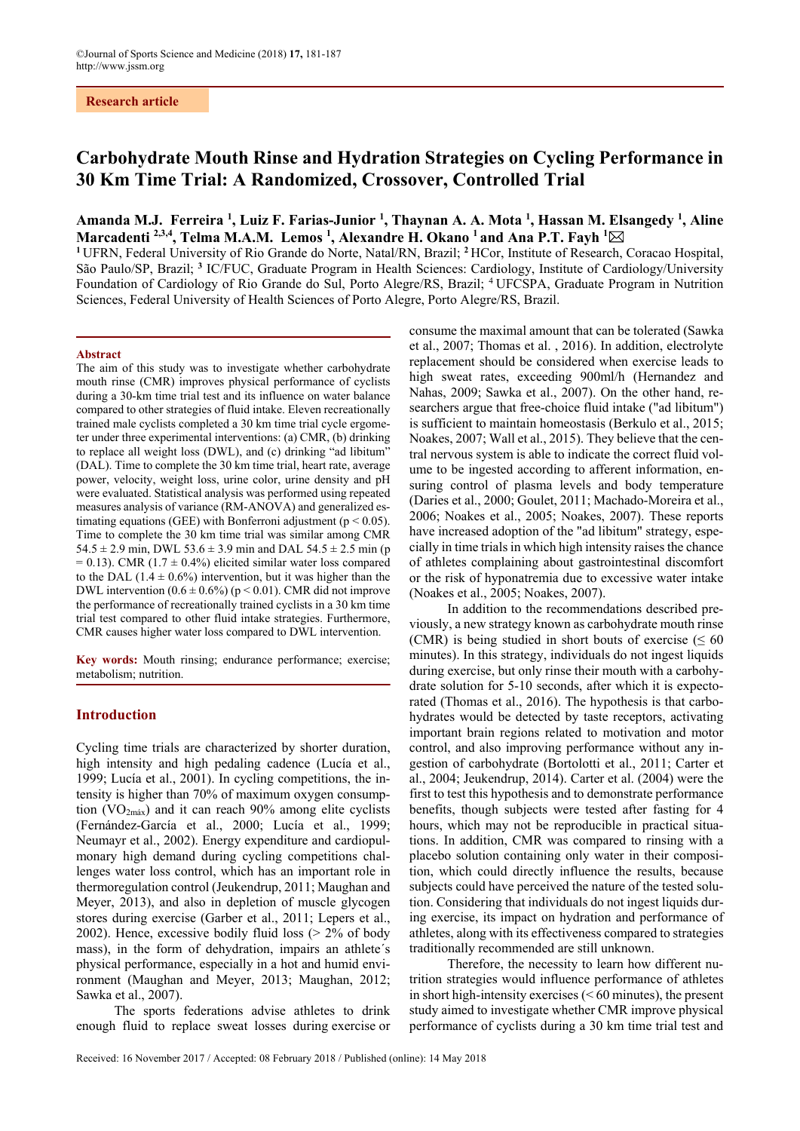# **Carbohydrate Mouth Rinse and Hydration Strategies on Cycling Performance in 30 Km Time Trial: A Randomized, Crossover, Controlled Trial**

Amanda M.J. Ferreira <sup>1</sup>, Luiz F. Farias-Junior <sup>1</sup>, Thaynan A. A. Mota <sup>1</sup>, Hassan M. Elsangedy <sup>1</sup>, Aline Marcadenti <sup>2,3,4</sup>, Telma M.A.M. Lemos <sup>1</sup>, Alexandre H. Okano <sup>1</sup> and Ana P.T. Fayh <sup>1</sup>⊠

**<sup>1</sup>**UFRN, Federal University of Rio Grande do Norte, Natal/RN, Brazil; **<sup>2</sup>**HCor, Institute of Research, Coracao Hospital, São Paulo/SP, Brazil; **<sup>3</sup>** IC/FUC, Graduate Program in Health Sciences: Cardiology, Institute of Cardiology/University Foundation of Cardiology of Rio Grande do Sul, Porto Alegre/RS, Brazil; 4 UFCSPA, Graduate Program in Nutrition Sciences, Federal University of Health Sciences of Porto Alegre, Porto Alegre/RS, Brazil.

#### **Abstract**

The aim of this study was to investigate whether carbohydrate mouth rinse (CMR) improves physical performance of cyclists during a 30-km time trial test and its influence on water balance compared to other strategies of fluid intake. Eleven recreationally trained male cyclists completed a 30 km time trial cycle ergometer under three experimental interventions: (a) CMR, (b) drinking to replace all weight loss (DWL), and (c) drinking "ad libitum" (DAL). Time to complete the 30 km time trial, heart rate, average power, velocity, weight loss, urine color, urine density and pH were evaluated. Statistical analysis was performed using repeated measures analysis of variance (RM-ANOVA) and generalized estimating equations (GEE) with Bonferroni adjustment ( $p < 0.05$ ). Time to complete the 30 km time trial was similar among CMR  $54.5 \pm 2.9$  min, DWL  $53.6 \pm 3.9$  min and DAL  $54.5 \pm 2.5$  min (p  $= 0.13$ ). CMR (1.7  $\pm$  0.4%) elicited similar water loss compared to the DAL (1.4  $\pm$  0.6%) intervention, but it was higher than the DWL intervention  $(0.6 \pm 0.6\%)$  (p < 0.01). CMR did not improve the performance of recreationally trained cyclists in a 30 km time trial test compared to other fluid intake strategies. Furthermore, CMR causes higher water loss compared to DWL intervention.

**Key words:** Mouth rinsing; endurance performance; exercise; metabolism; nutrition.

#### **Introduction**

Cycling time trials are characterized by shorter duration, high intensity and high pedaling cadence (Lucía et al., 1999; Lucía et al., 2001). In cycling competitions, the intensity is higher than 70% of maximum oxygen consumption  $(VO<sub>2mAx</sub>)$  and it can reach 90% among elite cyclists (Fernández-García et al., 2000; Lucía et al., 1999; Neumayr et al., 2002). Energy expenditure and cardiopulmonary high demand during cycling competitions challenges water loss control, which has an important role in thermoregulation control (Jeukendrup, 2011; Maughan and Meyer, 2013), and also in depletion of muscle glycogen stores during exercise (Garber et al., 2011; Lepers et al., 2002). Hence, excessive bodily fluid loss (> 2% of body mass), in the form of dehydration, impairs an athlete´s physical performance, especially in a hot and humid environment (Maughan and Meyer, 2013; Maughan, 2012; Sawka et al., 2007).

The sports federations advise athletes to drink enough fluid to replace sweat losses during exercise or consume the maximal amount that can be tolerated (Sawka et al., 2007; Thomas et al. , 2016). In addition, electrolyte replacement should be considered when exercise leads to high sweat rates, exceeding 900ml/h (Hernandez and Nahas, 2009; Sawka et al., 2007). On the other hand, researchers argue that free-choice fluid intake ("ad libitum") is sufficient to maintain homeostasis (Berkulo et al., 2015; Noakes, 2007; Wall et al., 2015). They believe that the central nervous system is able to indicate the correct fluid volume to be ingested according to afferent information, ensuring control of plasma levels and body temperature (Daries et al., 2000; Goulet, 2011; Machado-Moreira et al., 2006; Noakes et al., 2005; Noakes, 2007). These reports have increased adoption of the "ad libitum" strategy, especially in time trials in which high intensity raises the chance of athletes complaining about gastrointestinal discomfort or the risk of hyponatremia due to excessive water intake (Noakes et al., 2005; Noakes, 2007).

In addition to the recommendations described previously, a new strategy known as carbohydrate mouth rinse (CMR) is being studied in short bouts of exercise ( $\leq 60$ ) minutes). In this strategy, individuals do not ingest liquids during exercise, but only rinse their mouth with a carbohydrate solution for 5-10 seconds, after which it is expectorated (Thomas et al., 2016). The hypothesis is that carbohydrates would be detected by taste receptors, activating important brain regions related to motivation and motor control, and also improving performance without any ingestion of carbohydrate (Bortolotti et al., 2011; Carter et al., 2004; Jeukendrup, 2014). Carter et al. (2004) were the first to test this hypothesis and to demonstrate performance benefits, though subjects were tested after fasting for 4 hours, which may not be reproducible in practical situations. In addition, CMR was compared to rinsing with a placebo solution containing only water in their composition, which could directly influence the results, because subjects could have perceived the nature of the tested solution. Considering that individuals do not ingest liquids during exercise, its impact on hydration and performance of athletes, along with its effectiveness compared to strategies traditionally recommended are still unknown.

Therefore, the necessity to learn how different nutrition strategies would influence performance of athletes in short high-intensity exercises (< 60 minutes), the present study aimed to investigate whether CMR improve physical performance of cyclists during a 30 km time trial test and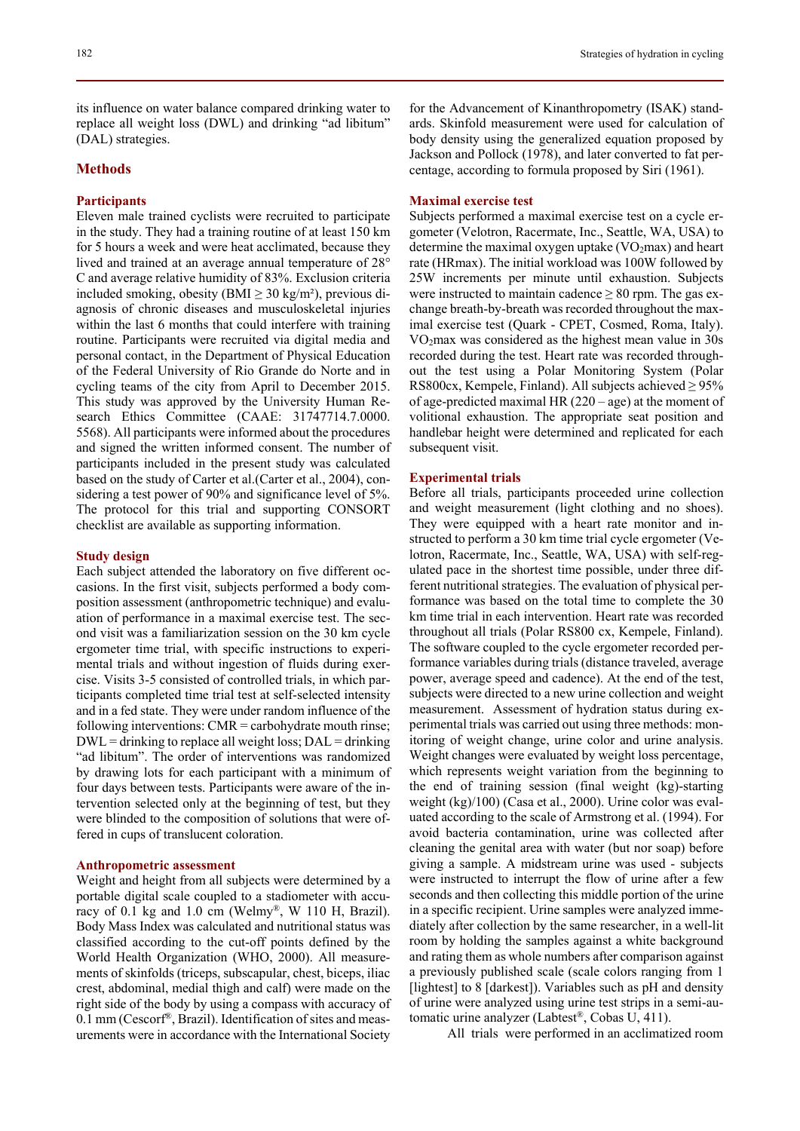# **Methods**

### **Participants**

Eleven male trained cyclists were recruited to participate in the study. They had a training routine of at least 150 km for 5 hours a week and were heat acclimated, because they lived and trained at an average annual temperature of 28° C and average relative humidity of 83%. Exclusion criteria included smoking, obesity (BMI  $\geq$  30 kg/m<sup>2</sup>), previous diagnosis of chronic diseases and musculoskeletal injuries within the last 6 months that could interfere with training routine. Participants were recruited via digital media and personal contact, in the Department of Physical Education of the Federal University of Rio Grande do Norte and in cycling teams of the city from April to December 2015. This study was approved by the University Human Research Ethics Committee (CAAE: 31747714.7.0000. 5568). All participants were informed about the procedures and signed the written informed consent. The number of participants included in the present study was calculated based on the study of Carter et al.(Carter et al., 2004), considering a test power of 90% and significance level of 5%. The protocol for this trial and supporting CONSORT checklist are available as supporting information.

#### **Study design**

Each subject attended the laboratory on five different occasions. In the first visit, subjects performed a body composition assessment (anthropometric technique) and evaluation of performance in a maximal exercise test. The second visit was a familiarization session on the 30 km cycle ergometer time trial, with specific instructions to experimental trials and without ingestion of fluids during exercise. Visits 3-5 consisted of controlled trials, in which participants completed time trial test at self-selected intensity and in a fed state. They were under random influence of the following interventions: CMR = carbohydrate mouth rinse;  $DWL =$  drinking to replace all weight loss;  $DAL =$  drinking "ad libitum". The order of interventions was randomized by drawing lots for each participant with a minimum of four days between tests. Participants were aware of the intervention selected only at the beginning of test, but they were blinded to the composition of solutions that were offered in cups of translucent coloration.

#### **Anthropometric assessment**

Weight and height from all subjects were determined by a portable digital scale coupled to a stadiometer with accuracy of 0.1 kg and 1.0 cm (Welmy®, W 110 H, Brazil). Body Mass Index was calculated and nutritional status was classified according to the cut-off points defined by the World Health Organization (WHO, 2000). All measurements of skinfolds (triceps, subscapular, chest, biceps, iliac crest, abdominal, medial thigh and calf) were made on the right side of the body by using a compass with accuracy of 0.1 mm (Cescorf®, Brazil). Identification of sites and measurements were in accordance with the International Society

for the Advancement of Kinanthropometry (ISAK) standards. Skinfold measurement were used for calculation of body density using the generalized equation proposed by Jackson and Pollock (1978), and later converted to fat percentage, according to formula proposed by Siri (1961).

### **Maximal exercise test**

Subjects performed a maximal exercise test on a cycle ergometer (Velotron, Racermate, Inc., Seattle, WA, USA) to determine the maximal oxygen uptake  $(VO<sub>2</sub>max)$  and heart rate (HRmax). The initial workload was 100W followed by 25W increments per minute until exhaustion. Subjects were instructed to maintain cadence  $\geq 80$  rpm. The gas exchange breath-by-breath was recorded throughout the maximal exercise test (Quark - CPET, Cosmed, Roma, Italy). VO2max was considered as the highest mean value in 30s recorded during the test. Heart rate was recorded throughout the test using a Polar Monitoring System (Polar RS800cx, Kempele, Finland). All subjects achieved  $\geq$  95% of age-predicted maximal HR  $(220 - age)$  at the moment of volitional exhaustion. The appropriate seat position and handlebar height were determined and replicated for each subsequent visit.

### **Experimental trials**

Before all trials, participants proceeded urine collection and weight measurement (light clothing and no shoes). They were equipped with a heart rate monitor and instructed to perform a 30 km time trial cycle ergometer (Velotron, Racermate, Inc., Seattle, WA, USA) with self-regulated pace in the shortest time possible, under three different nutritional strategies. The evaluation of physical performance was based on the total time to complete the 30 km time trial in each intervention. Heart rate was recorded throughout all trials (Polar RS800 cx, Kempele, Finland). The software coupled to the cycle ergometer recorded performance variables during trials (distance traveled, average power, average speed and cadence). At the end of the test, subjects were directed to a new urine collection and weight measurement. Assessment of hydration status during experimental trials was carried out using three methods: monitoring of weight change, urine color and urine analysis. Weight changes were evaluated by weight loss percentage, which represents weight variation from the beginning to the end of training session (final weight (kg)-starting weight (kg)/100) (Casa et al., 2000). Urine color was evaluated according to the scale of Armstrong et al. (1994). For avoid bacteria contamination, urine was collected after cleaning the genital area with water (but nor soap) before giving a sample. A midstream urine was used - subjects were instructed to interrupt the flow of urine after a few seconds and then collecting this middle portion of the urine in a specific recipient. Urine samples were analyzed immediately after collection by the same researcher, in a well-lit room by holding the samples against a white background and rating them as whole numbers after comparison against a previously published scale (scale colors ranging from 1 [lightest] to 8 [darkest]). Variables such as pH and density of urine were analyzed using urine test strips in a semi-automatic urine analyzer (Labtest®, Cobas U, 411).

All trials were performed in an acclimatized room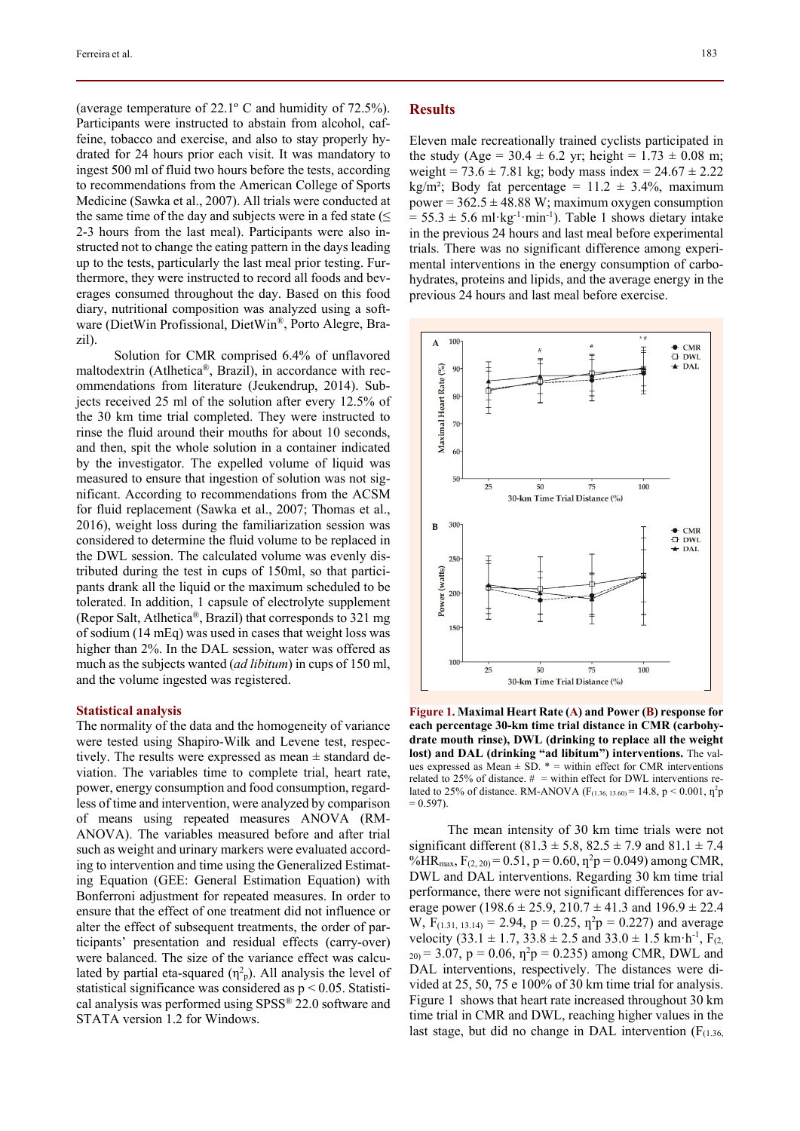(average temperature of 22.1º C and humidity of 72.5%). Participants were instructed to abstain from alcohol, caffeine, tobacco and exercise, and also to stay properly hydrated for 24 hours prior each visit. It was mandatory to ingest 500 ml of fluid two hours before the tests, according to recommendations from the American College of Sports Medicine (Sawka et al., 2007). All trials were conducted at the same time of the day and subjects were in a fed state  $(\leq)$ 2-3 hours from the last meal). Participants were also instructed not to change the eating pattern in the days leading up to the tests, particularly the last meal prior testing. Furthermore, they were instructed to record all foods and beverages consumed throughout the day. Based on this food diary, nutritional composition was analyzed using a software (DietWin Profissional, DietWin®, Porto Alegre, Brazil).

Solution for CMR comprised 6.4% of unflavored maltodextrin (Atlhetica®, Brazil), in accordance with recommendations from literature (Jeukendrup, 2014). Subjects received 25 ml of the solution after every 12.5% of the 30 km time trial completed. They were instructed to rinse the fluid around their mouths for about 10 seconds, and then, spit the whole solution in a container indicated by the investigator. The expelled volume of liquid was measured to ensure that ingestion of solution was not significant. According to recommendations from the ACSM for fluid replacement (Sawka et al., 2007; Thomas et al., 2016), weight loss during the familiarization session was considered to determine the fluid volume to be replaced in the DWL session. The calculated volume was evenly distributed during the test in cups of 150ml, so that participants drank all the liquid or the maximum scheduled to be tolerated. In addition, 1 capsule of electrolyte supplement (Repor Salt, Atlhetica®, Brazil) that corresponds to 321 mg of sodium (14 mEq) was used in cases that weight loss was higher than 2%. In the DAL session, water was offered as much as the subjects wanted (*ad libitum*) in cups of 150 ml, and the volume ingested was registered.

#### **Statistical analysis**

The normality of the data and the homogeneity of variance were tested using Shapiro-Wilk and Levene test, respectively. The results were expressed as mean  $\pm$  standard deviation. The variables time to complete trial, heart rate, power, energy consumption and food consumption, regardless of time and intervention, were analyzed by comparison of means using repeated measures ANOVA (RM-ANOVA). The variables measured before and after trial such as weight and urinary markers were evaluated according to intervention and time using the Generalized Estimating Equation (GEE: General Estimation Equation) with Bonferroni adjustment for repeated measures. In order to ensure that the effect of one treatment did not influence or alter the effect of subsequent treatments, the order of participants' presentation and residual effects (carry-over) were balanced. The size of the variance effect was calculated by partial eta-squared  $(\eta^2$ <sub>p</sub>). All analysis the level of statistical significance was considered as  $p < 0.05$ . Statistical analysis was performed using SPSS® 22.0 software and STATA version 1.2 for Windows.

### **Results**

Eleven male recreationally trained cyclists participated in the study (Age =  $30.4 \pm 6.2$  yr; height =  $1.73 \pm 0.08$  m; weight = 73.6  $\pm$  7.81 kg; body mass index = 24.67  $\pm$  2.22 kg/m²; Body fat percentage =  $11.2 \pm 3.4\%$ , maximum power =  $362.5 \pm 48.88$  W; maximum oxygen consumption  $= 55.3 \pm 5.6 \text{ ml·kg}^{-1} \cdot \text{min}^{-1}$ ). Table 1 shows dietary intake in the previous 24 hours and last meal before experimental trials. There was no significant difference among experimental interventions in the energy consumption of carbohydrates, proteins and lipids, and the average energy in the previous 24 hours and last meal before exercise.



**Figure 1. Maximal Heart Rate (A) and Power (B) response for each percentage 30-km time trial distance in CMR (carbohydrate mouth rinse), DWL (drinking to replace all the weight lost) and DAL (drinking "ad libitum") interventions.** The values expressed as Mean  $\pm$  SD.  $*$  = within effect for CMR interventions related to 25% of distance.  $#$  = within effect for DWL interventions related to 25% of distance. RM-ANOVA ( $F_{(1.36, 13.60)} = 14.8$ , p < 0.001,  $\eta^2 p$  $= 0.597$ ).

The mean intensity of 30 km time trials were not significant different (81.3  $\pm$  5.8, 82.5  $\pm$  7.9 and 81.1  $\pm$  7.4 %HR<sub>max</sub>,  $F_{(2, 20)} = 0.51$ ,  $p = 0.60$ ,  $p^2p = 0.049$ ) among CMR, DWL and DAL interventions. Regarding 30 km time trial performance, there were not significant differences for average power (198.6  $\pm$  25.9, 210.7  $\pm$  41.3 and 196.9  $\pm$  22.4 W,  $F_{(1.31, 13.14)} = 2.94$ ,  $p = 0.25$ ,  $p^2p = 0.227$ ) and average velocity (33.1  $\pm$  1.7, 33.8  $\pm$  2.5 and 33.0  $\pm$  1.5 km·h<sup>-1</sup>, F<sub>(2,</sub>  $_{20}$  = 3.07, p = 0.06,  $\eta^2$ p = 0.235) among CMR, DWL and DAL interventions, respectively. The distances were divided at 25, 50, 75 e 100% of 30 km time trial for analysis. Figure 1 shows that heart rate increased throughout 30 km time trial in CMR and DWL, reaching higher values in the last stage, but did no change in DAL intervention  $(F<sub>(1.36)</sub>)$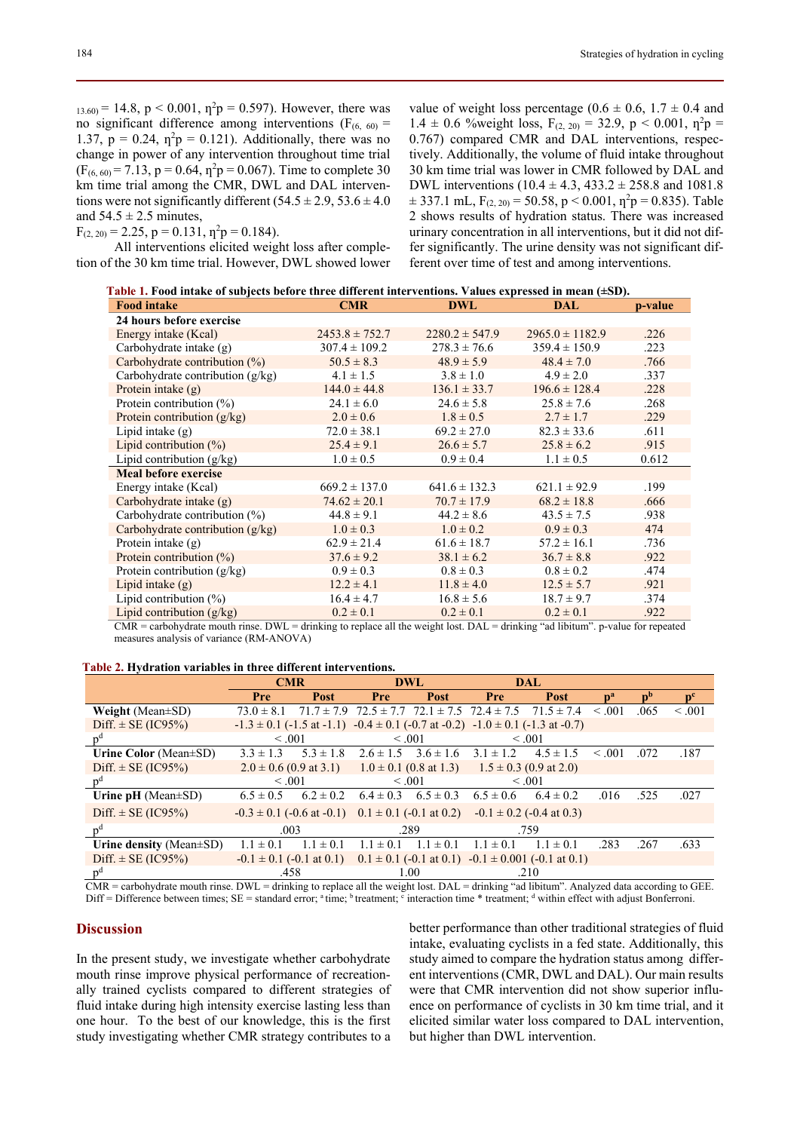$_{13.60}$  = 14.8, p < 0.001,  $\eta^2$ p = 0.597). However, there was no significant difference among interventions ( $F_{(6, 60)}$  = 1.37,  $p = 0.24$ ,  $\eta^2 p = 0.121$ ). Additionally, there was no change in power of any intervention throughout time trial  $(F_{(6, 60)} = 7.13, p = 0.64, \eta^2 p = 0.067)$ . Time to complete 30 km time trial among the CMR, DWL and DAL interventions were not significantly different  $(54.5 \pm 2.9, 53.6 \pm 4.0)$ and  $54.5 \pm 2.5$  minutes,

 $F_{(2, 20)} = 2.25$ ,  $p = 0.131$ ,  $p^2p = 0.184$ ).

All interventions elicited weight loss after completion of the 30 km time trial. However, DWL showed lower

value of weight loss percentage ( $0.6 \pm 0.6$ ,  $1.7 \pm 0.4$  and  $1.4 \pm 0.6$  % weight loss,  $F_{(2, 20)} = 32.9$ ,  $p < 0.001$ ,  $p^2p =$ 0.767) compared CMR and DAL interventions, respectively. Additionally, the volume of fluid intake throughout 30 km time trial was lower in CMR followed by DAL and DWL interventions  $(10.4 \pm 4.3, 433.2 \pm 258.8)$  and  $1081.8$  $\pm$  337.1 mL,  $F_{(2, 20)} = 50.58$ , p < 0.001,  $\eta^2 p = 0.835$ ). Table 2 shows results of hydration status. There was increased urinary concentration in all interventions, but it did not differ significantly. The urine density was not significant different over time of test and among interventions.

| Table 1. Food intake of subjects before three different interventions. Values expressed in mean $(\pm SD)$ . |  |
|--------------------------------------------------------------------------------------------------------------|--|
|                                                                                                              |  |

| <b>Food intake</b>                 | <b>CMR</b>         | <b>DWL</b>         | DAL                 | p-value |  |
|------------------------------------|--------------------|--------------------|---------------------|---------|--|
| 24 hours before exercise           |                    |                    |                     |         |  |
| Energy intake (Kcal)               | $2453.8 \pm 752.7$ | $2280.2 \pm 547.9$ | $2965.0 \pm 1182.9$ | .226    |  |
| Carbohydrate intake $(g)$          | $307.4 \pm 109.2$  | $278.3 \pm 76.6$   | $359.4 \pm 150.9$   | .223    |  |
| Carbohydrate contribution (%)      | $50.5 \pm 8.3$     | $48.9 \pm 5.9$     | $48.4 \pm 7.0$      | .766    |  |
| Carbohydrate contribution $(g/kg)$ | $4.1 \pm 1.5$      | $3.8 \pm 1.0$      | $4.9 \pm 2.0$       | .337    |  |
| Protein intake $(g)$               | $144.0 \pm 44.8$   | $136.1 \pm 33.7$   | $196.6 \pm 128.4$   | .228    |  |
| Protein contribution $(\%)$        | $24.1 \pm 6.0$     | $24.6 \pm 5.8$     | $25.8 \pm 7.6$      | .268    |  |
| Protein contribution $(g/kg)$      | $2.0 \pm 0.6$      | $1.8 \pm 0.5$      | $2.7 \pm 1.7$       | .229    |  |
| Lipid intake $(g)$                 | $72.0 \pm 38.1$    | $69.2 \pm 27.0$    | $82.3 \pm 33.6$     | .611    |  |
| Lipid contribution $(\%)$          | $25.4 \pm 9.1$     | $26.6 \pm 5.7$     | $25.8 \pm 6.2$      | .915    |  |
| Lipid contribution (g/kg)          | $1.0 \pm 0.5$      | $0.9 \pm 0.4$      | $1.1 \pm 0.5$       | 0.612   |  |
| <b>Meal before exercise</b>        |                    |                    |                     |         |  |
| Energy intake (Kcal)               | $669.2 \pm 137.0$  | $641.6 \pm 132.3$  | $621.1 \pm 92.9$    | .199    |  |
| Carbohydrate intake $(g)$          | $74.62 \pm 20.1$   | $70.7 \pm 17.9$    | $68.2 \pm 18.8$     | .666    |  |
| Carbohydrate contribution $(\%)$   | $44.8 \pm 9.1$     | $44.2 \pm 8.6$     | $43.5 \pm 7.5$      | .938    |  |
| Carbohydrate contribution $(g/kg)$ | $1.0 \pm 0.3$      | $1.0 \pm 0.2$      | $0.9 \pm 0.3$       | 474     |  |
| Protein intake $(g)$               | $62.9 \pm 21.4$    | $61.6 \pm 18.7$    | $57.2 \pm 16.1$     | .736    |  |
| Protein contribution $(\%)$        | $37.6 \pm 9.2$     | $38.1 \pm 6.2$     | $36.7 \pm 8.8$      | .922    |  |
| Protein contribution $(g/kg)$      | $0.9 \pm 0.3$      | $0.8 \pm 0.3$      | $0.8 \pm 0.2$       | .474    |  |
| Lipid intake $(g)$                 | $12.2 \pm 4.1$     | $11.8 \pm 4.0$     | $12.5 \pm 5.7$      | .921    |  |
| Lipid contribution $(\%)$          | $16.4 \pm 4.7$     | $16.8 \pm 5.6$     | $18.7 \pm 9.7$      | .374    |  |
| Lipid contribution $(g/kg)$        | $0.2 \pm 0.1$      | $0.2 \pm 0.1$      | $0.2 \pm 0.1$       | .922    |  |

 $CMR =$  carbohydrate mouth rinse. DWL = drinking to replace all the weight lost. DAL = drinking "ad libitum". p-value for repeated measures analysis of variance (RM-ANOVA)

### **Table 2. Hydration variables in three different interventions.**

|                               | <b>CMR</b>                                                |                | DWL                                          |                            | DAL.                                                        |                              |         |                |         |
|-------------------------------|-----------------------------------------------------------|----------------|----------------------------------------------|----------------------------|-------------------------------------------------------------|------------------------------|---------|----------------|---------|
|                               | Pre                                                       | <b>Post</b>    | Pre                                          | <b>Post</b>                | Pre                                                         | <b>Post</b>                  | $n^a$   | n <sub>p</sub> |         |
| <b>Weight</b> (Mean $\pm$ SD) | $73.0 \pm 8.1$                                            | $71.7 \pm 7.9$ | $72.5 \pm 7.7$ $72.1 \pm 7.5$ $72.4 \pm 7.5$ |                            |                                                             | $71.5 \pm 7.4$               | < 0.01  | .065           | < 0.001 |
| Diff. $\pm$ SE (IC95%)        | $-1.3 \pm 0.1$ ( $-1.5$ at $-1.1$ )                       |                |                                              |                            | $-0.4 \pm 0.1$ (-0.7 at -0.2) $-1.0 \pm 0.1$ (-1.3 at -0.7) |                              |         |                |         |
| p <sup>d</sup>                |                                                           | < 0.01         |                                              | < 0.01                     |                                                             | < 0.01                       |         |                |         |
| Urine Color (Mean±SD)         | $3.3 \pm 1.3$                                             | $5.3 \pm 1.8$  | $2.6 \pm 1.5$ $3.6 \pm 1.6$                  |                            | $3.1 \pm 1.2$                                               | $4.5 \pm 1.5$                | < 0.001 | .072           | .187    |
| Diff. $\pm$ SE (IC95%)        | $2.0 \pm 0.6$ (0.9 at 3.1)                                |                |                                              | $1.0 \pm 0.1$ (0.8 at 1.3) |                                                             | $1.5 \pm 0.3$ (0.9 at 2.0)   |         |                |         |
| p <sup>d</sup>                | < 0.001                                                   |                | < 0.001                                      |                            | < 0.01                                                      |                              |         |                |         |
| Urine $pH$ (Mean $\pm$ SD)    | $6.5 \pm 0.5$                                             | $6.2 \pm 0.2$  | $6.4 \pm 0.3$                                | $6.5 \pm 0.3$              | $6.5 \pm 0.6$                                               | $6.4 \pm 0.2$                | .016    | .525           | .027    |
| Diff. $\pm$ SE (IC95%)        | $-0.3 \pm 0.1$ (-0.6 at -0.1) 0.1 $\pm$ 0.1 (-0.1 at 0.2) |                |                                              |                            |                                                             | $-0.1 \pm 0.2$ (-0.4 at 0.3) |         |                |         |
| p <sup>d</sup>                | .003                                                      |                | .289                                         |                            | .759                                                        |                              |         |                |         |
| Urine density (Mean $\pm$ SD) | $1.1 \pm 0.1$                                             | $\pm 0.1$      | $1.1 \pm 0.1$                                | $\pm 0.1$                  | $1.1 \pm 0.1$                                               | $1.1 \pm 0.1$                | .283    | .267           | .633    |
| Diff. $\pm$ SE (IC95%)        | $-0.1 \pm 0.1$ (-0.1 at 0.1)                              |                |                                              |                            | $0.1 \pm 0.1$ (-0.1 at 0.1) -0.1 $\pm$ 0.001 (-0.1 at 0.1)  |                              |         |                |         |
| n <sup>d</sup>                | .458                                                      |                |                                              | 1.00                       |                                                             | .210                         |         |                |         |

CMR = carbohydrate mouth rinse. DWL = drinking to replace all the weight lost. DAL = drinking "ad libitum". Analyzed data according to GEE. Diff = Difference between times; SE = standard error; <sup>a</sup> time; <sup>b</sup> treatment; <sup>c</sup> interaction time \* treatment; <sup>d</sup> within effect with adjust Bonferroni.

### **Discussion**

In the present study, we investigate whether carbohydrate mouth rinse improve physical performance of recreationally trained cyclists compared to different strategies of fluid intake during high intensity exercise lasting less than one hour. To the best of our knowledge, this is the first study investigating whether CMR strategy contributes to a better performance than other traditional strategies of fluid intake, evaluating cyclists in a fed state. Additionally, this study aimed to compare the hydration status among different interventions (CMR, DWL and DAL). Our main results were that CMR intervention did not show superior influence on performance of cyclists in 30 km time trial, and it elicited similar water loss compared to DAL intervention, but higher than DWL intervention.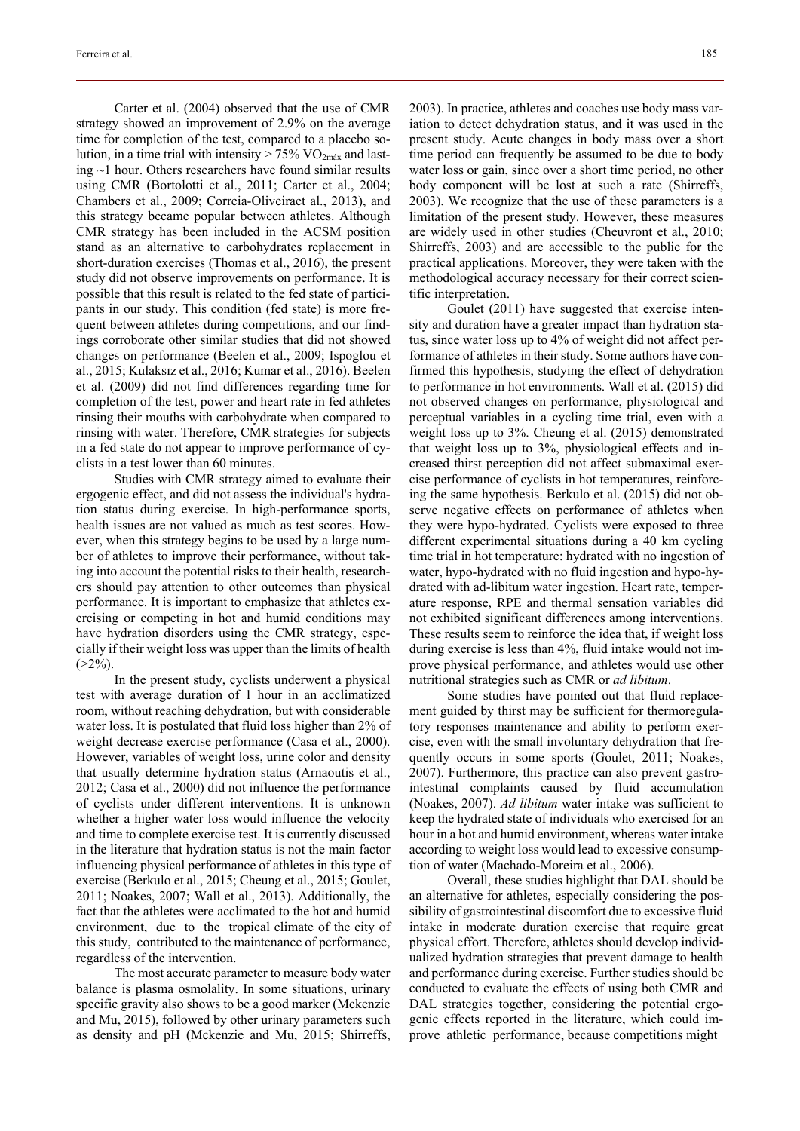Carter et al. (2004) observed that the use of CMR strategy showed an improvement of 2.9% on the average time for completion of the test, compared to a placebo solution, in a time trial with intensity  $> 75\%$  VO<sub>2máx</sub> and lasting ~1 hour. Others researchers have found similar results using CMR (Bortolotti et al., 2011; Carter et al., 2004; Chambers et al., 2009; Correia-Oliveiraet al., 2013), and this strategy became popular between athletes. Although CMR strategy has been included in the ACSM position stand as an alternative to carbohydrates replacement in short-duration exercises (Thomas et al., 2016), the present study did not observe improvements on performance. It is possible that this result is related to the fed state of participants in our study. This condition (fed state) is more frequent between athletes during competitions, and our findings corroborate other similar studies that did not showed changes on performance (Beelen et al., 2009; Ispoglou et al., 2015; Kulaksız et al., 2016; Kumar et al., 2016). Beelen et al. (2009) did not find differences regarding time for completion of the test, power and heart rate in fed athletes rinsing their mouths with carbohydrate when compared to rinsing with water. Therefore, CMR strategies for subjects in a fed state do not appear to improve performance of cyclists in a test lower than 60 minutes.

Studies with CMR strategy aimed to evaluate their ergogenic effect, and did not assess the individual's hydration status during exercise. In high-performance sports, health issues are not valued as much as test scores. However, when this strategy begins to be used by a large number of athletes to improve their performance, without taking into account the potential risks to their health, researchers should pay attention to other outcomes than physical performance. It is important to emphasize that athletes exercising or competing in hot and humid conditions may have hydration disorders using the CMR strategy, especially if their weight loss was upper than the limits of health  $(>2\%)$ .

In the present study, cyclists underwent a physical test with average duration of 1 hour in an acclimatized room, without reaching dehydration, but with considerable water loss. It is postulated that fluid loss higher than 2% of weight decrease exercise performance (Casa et al., 2000). However, variables of weight loss, urine color and density that usually determine hydration status (Arnaoutis et al., 2012; Casa et al., 2000) did not influence the performance of cyclists under different interventions. It is unknown whether a higher water loss would influence the velocity and time to complete exercise test. It is currently discussed in the literature that hydration status is not the main factor influencing physical performance of athletes in this type of exercise (Berkulo et al., 2015; Cheung et al., 2015; Goulet, 2011; Noakes, 2007; Wall et al., 2013). Additionally, the fact that the athletes were acclimated to the hot and humid environment, due to the tropical climate of the city of this study, contributed to the maintenance of performance, regardless of the intervention.

The most accurate parameter to measure body water balance is plasma osmolality. In some situations, urinary specific gravity also shows to be a good marker (Mckenzie and Mu, 2015), followed by other urinary parameters such as density and pH (Mckenzie and Mu, 2015; Shirreffs, 2003). In practice, athletes and coaches use body mass variation to detect dehydration status, and it was used in the present study. Acute changes in body mass over a short time period can frequently be assumed to be due to body water loss or gain, since over a short time period, no other body component will be lost at such a rate (Shirreffs, 2003). We recognize that the use of these parameters is a limitation of the present study. However, these measures are widely used in other studies (Cheuvront et al., 2010; Shirreffs, 2003) and are accessible to the public for the practical applications. Moreover, they were taken with the methodological accuracy necessary for their correct scientific interpretation.

Goulet (2011) have suggested that exercise intensity and duration have a greater impact than hydration status, since water loss up to 4% of weight did not affect performance of athletes in their study. Some authors have confirmed this hypothesis, studying the effect of dehydration to performance in hot environments. Wall et al. (2015) did not observed changes on performance, physiological and perceptual variables in a cycling time trial, even with a weight loss up to 3%. Cheung et al. (2015) demonstrated that weight loss up to 3%, physiological effects and increased thirst perception did not affect submaximal exercise performance of cyclists in hot temperatures, reinforcing the same hypothesis. Berkulo et al. (2015) did not observe negative effects on performance of athletes when they were hypo-hydrated. Cyclists were exposed to three different experimental situations during a 40 km cycling time trial in hot temperature: hydrated with no ingestion of water, hypo-hydrated with no fluid ingestion and hypo-hydrated with ad-libitum water ingestion. Heart rate, temperature response, RPE and thermal sensation variables did not exhibited significant differences among interventions. These results seem to reinforce the idea that, if weight loss during exercise is less than 4%, fluid intake would not improve physical performance, and athletes would use other nutritional strategies such as CMR or *ad libitum*.

Some studies have pointed out that fluid replacement guided by thirst may be sufficient for thermoregulatory responses maintenance and ability to perform exercise, even with the small involuntary dehydration that frequently occurs in some sports (Goulet, 2011; Noakes, 2007). Furthermore, this practice can also prevent gastrointestinal complaints caused by fluid accumulation (Noakes, 2007). *Ad libitum* water intake was sufficient to keep the hydrated state of individuals who exercised for an hour in a hot and humid environment, whereas water intake according to weight loss would lead to excessive consumption of water (Machado-Moreira et al., 2006).

Overall, these studies highlight that DAL should be an alternative for athletes, especially considering the possibility of gastrointestinal discomfort due to excessive fluid intake in moderate duration exercise that require great physical effort. Therefore, athletes should develop individualized hydration strategies that prevent damage to health and performance during exercise. Further studies should be conducted to evaluate the effects of using both CMR and DAL strategies together, considering the potential ergogenic effects reported in the literature, which could improve athletic performance, because competitions might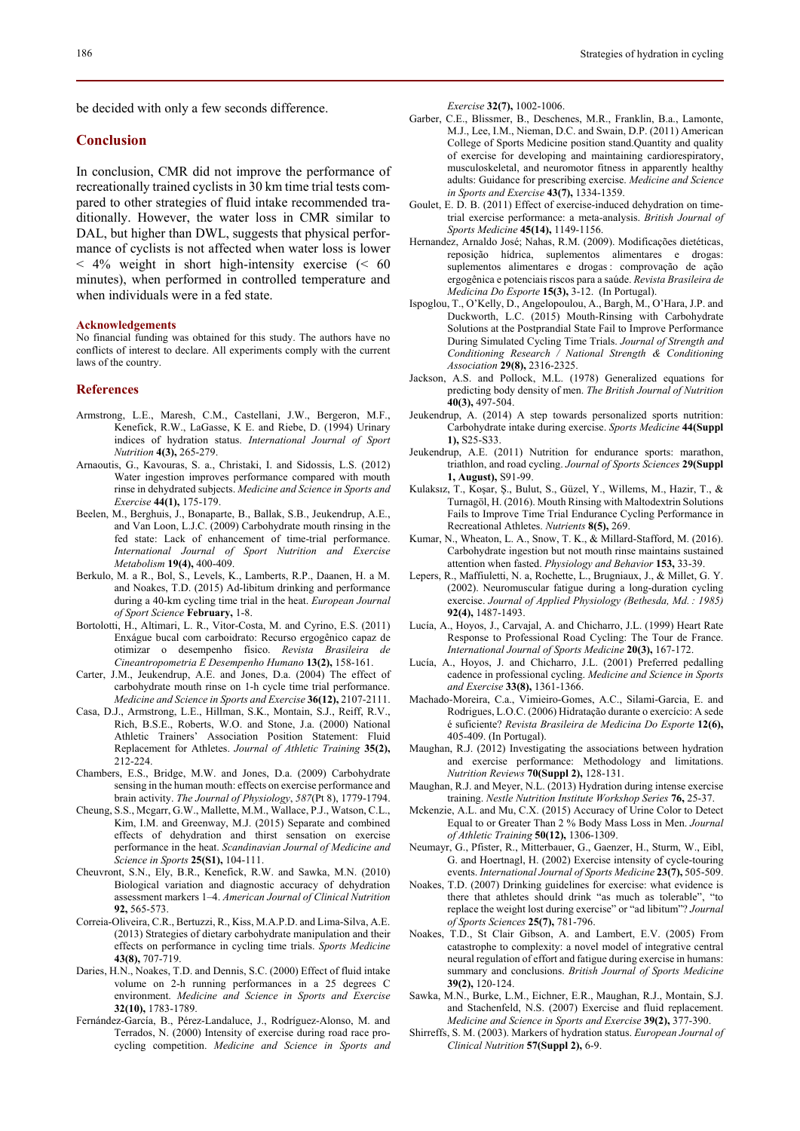be decided with only a few seconds difference.

# **Conclusion**

In conclusion, CMR did not improve the performance of recreationally trained cyclists in 30 km time trial tests compared to other strategies of fluid intake recommended traditionally. However, the water loss in CMR similar to DAL, but higher than DWL, suggests that physical performance of cyclists is not affected when water loss is lower < 4% weight in short high-intensity exercise (< 60 minutes), when performed in controlled temperature and when individuals were in a fed state.

#### **Acknowledgements**

No financial funding was obtained for this study. The authors have no conflicts of interest to declare. All experiments comply with the current laws of the country.

#### **References**

- Armstrong, L.E., Maresh, C.M., Castellani, J.W., Bergeron, M.F., Kenefick, R.W., LaGasse, K E. and Riebe, D. (1994) Urinary indices of hydration status. *International Journal of Sport Nutrition* **4(3),** 265-279.
- Arnaoutis, G., Kavouras, S. a., Christaki, I. and Sidossis, L.S. (2012) Water ingestion improves performance compared with mouth rinse in dehydrated subjects. *Medicine and Science in Sports and Exercise* **44(1),** 175-179.
- Beelen, M., Berghuis, J., Bonaparte, B., Ballak, S.B., Jeukendrup, A.E., and Van Loon, L.J.C. (2009) Carbohydrate mouth rinsing in the fed state: Lack of enhancement of time-trial performance. *International Journal of Sport Nutrition and Exercise Metabolism* **19(4),** 400-409.
- Berkulo, M. a R., Bol, S., Levels, K., Lamberts, R.P., Daanen, H. a M. and Noakes, T.D. (2015) Ad-libitum drinking and performance during a 40-km cycling time trial in the heat. *European Journal of Sport Science* **February,** 1-8.
- Bortolotti, H., Altimari, L. R., Vitor-Costa, M. and Cyrino, E.S. (2011) Enxágue bucal com carboidrato: Recurso ergogênico capaz de otimizar o desempenho físico. *Revista Brasileira de Cineantropometria E Desempenho Humano* **13(2),** 158-161.
- Carter, J.M., Jeukendrup, A.E. and Jones, D.a. (2004) The effect of carbohydrate mouth rinse on 1-h cycle time trial performance. *Medicine and Science in Sports and Exercise* **36(12),** 2107-2111.
- Casa, D.J., Armstrong, L.E., Hillman, S.K., Montain, S.J., Reiff, R.V., Rich, B.S.E., Roberts, W.O. and Stone, J.a. (2000) National Athletic Trainers' Association Position Statement: Fluid Replacement for Athletes. *Journal of Athletic Training* **35(2),** 212-224.
- Chambers, E.S., Bridge, M.W. and Jones, D.a. (2009) Carbohydrate sensing in the human mouth: effects on exercise performance and brain activity. *The Journal of Physiology*, *587*(Pt 8), 1779-1794.
- Cheung, S.S., Mcgarr, G.W., Mallette, M.M., Wallace, P.J., Watson, C.L., Kim, I.M. and Greenway, M.J. (2015) Separate and combined effects of dehydration and thirst sensation on exercise performance in the heat. *Scandinavian Journal of Medicine and Science in Sports* **25(S1),** 104-111.
- Cheuvront, S.N., Ely, B.R., Kenefick, R.W. and Sawka, M.N. (2010) Biological variation and diagnostic accuracy of dehydration assessment markers 1–4. *American Journal of Clinical Nutrition* **92,** 565-573.
- Correia-Oliveira, C.R., Bertuzzi, R., Kiss, M.A.P.D. and Lima-Silva, A.E. (2013) Strategies of dietary carbohydrate manipulation and their effects on performance in cycling time trials. *Sports Medicine* **43(8),** 707-719.
- Daries, H.N., Noakes, T.D. and Dennis, S.C. (2000) Effect of fluid intake volume on 2-h running performances in a 25 degrees C environment. *Medicine and Science in Sports and Exercise* **32(10),** 1783-1789.
- Fernández-García, B., Pérez-Landaluce, J., Rodríguez-Alonso, M. and Terrados, N. (2000) Intensity of exercise during road race procycling competition. *Medicine and Science in Sports and*

*Exercise* **32(7),** 1002-1006.

- Garber, C.E., Blissmer, B., Deschenes, M.R., Franklin, B.a., Lamonte, M.J., Lee, I.M., Nieman, D.C. and Swain, D.P. (2011) American College of Sports Medicine position stand.Quantity and quality of exercise for developing and maintaining cardiorespiratory, musculoskeletal, and neuromotor fitness in apparently healthy adults: Guidance for prescribing exercise. *Medicine and Science in Sports and Exercise* **43(7),** 1334-1359.
- Goulet, E. D. B. (2011) Effect of exercise-induced dehydration on timetrial exercise performance: a meta-analysis. *British Journal of Sports Medicine* **45(14),** 1149-1156.
- Hernandez, Arnaldo José; Nahas, R.M. (2009). Modificações dietéticas, reposição hídrica, suplementos alimentares e drogas: suplementos alimentares e drogas : comprovação de ação ergogênica e potenciais riscos para a saúde. *Revista Brasileira de Medicina Do Esporte* **15(3),** 3-12. (In Portugal).
- Ispoglou, T., O'Kelly, D., Angelopoulou, A., Bargh, M., O'Hara, J.P. and Duckworth, L.C. (2015) Mouth-Rinsing with Carbohydrate Solutions at the Postprandial State Fail to Improve Performance During Simulated Cycling Time Trials. *Journal of Strength and Conditioning Research / National Strength & Conditioning Association* **29(8),** 2316-2325.
- Jackson, A.S. and Pollock, M.L. (1978) Generalized equations for predicting body density of men. *The British Journal of Nutrition* **40(3),** 497-504.
- Jeukendrup, A. (2014) A step towards personalized sports nutrition: Carbohydrate intake during exercise. *Sports Medicine* **44(Suppl 1),** S25-S33.
- Jeukendrup, A.E. (2011) Nutrition for endurance sports: marathon, triathlon, and road cycling. *Journal of Sports Sciences* **29(Suppl 1, August),** S91-99.
- Kulaksız, T., Koşar, Ş., Bulut, S., Güzel, Y., Willems, M., Hazir, T., & Turnagöl, H. (2016). Mouth Rinsing with Maltodextrin Solutions Fails to Improve Time Trial Endurance Cycling Performance in Recreational Athletes. *Nutrients* **8(5),** 269.
- Kumar, N., Wheaton, L. A., Snow, T. K., & Millard-Stafford, M. (2016). Carbohydrate ingestion but not mouth rinse maintains sustained attention when fasted. *Physiology and Behavior* **153,** 33-39.
- Lepers, R., Maffiuletti, N. a, Rochette, L., Brugniaux, J., & Millet, G. Y. (2002). Neuromuscular fatigue during a long-duration cycling exercise. *Journal of Applied Physiology (Bethesda, Md. : 1985)* **92(4),** 1487-1493.
- Lucía, A., Hoyos, J., Carvajal, A. and Chicharro, J.L. (1999) Heart Rate Response to Professional Road Cycling: The Tour de France. *International Journal of Sports Medicine* **20(3),** 167-172.
- Lucía, A., Hoyos, J. and Chicharro, J.L. (2001) Preferred pedalling cadence in professional cycling. *Medicine and Science in Sports and Exercise* **33(8),** 1361-1366.
- Machado-Moreira, C.a., Vimieiro-Gomes, A.C., Silami-Garcia, E. and Rodrigues, L.O.C. (2006) Hidratação durante o exercício: A sede é suficiente? *Revista Brasileira de Medicina Do Esporte* **12(6),**  405-409. (In Portugal).
- Maughan, R.J. (2012) Investigating the associations between hydration and exercise performance: Methodology and limitations. *Nutrition Reviews* **70(Suppl 2),** 128-131.
- Maughan, R.J. and Meyer, N.L. (2013) Hydration during intense exercise training. *Nestle Nutrition Institute Workshop Series* **76,** 25-37.
- Mckenzie, A.L. and Mu, C.X. (2015) Accuracy of Urine Color to Detect Equal to or Greater Than 2 % Body Mass Loss in Men. *Journal of Athletic Training* **50(12),** 1306-1309.
- Neumayr, G., Pfister, R., Mitterbauer, G., Gaenzer, H., Sturm, W., Eibl, G. and Hoertnagl, H. (2002) Exercise intensity of cycle-touring events. *International Journal of Sports Medicine* **23(7),** 505-509.
- Noakes, T.D. (2007) Drinking guidelines for exercise: what evidence is there that athletes should drink "as much as tolerable", "to replace the weight lost during exercise" or "ad libitum"? *Journal of Sports Sciences* **25(7),** 781-796.
- Noakes, T.D., St Clair Gibson, A. and Lambert, E.V. (2005) From catastrophe to complexity: a novel model of integrative central neural regulation of effort and fatigue during exercise in humans: summary and conclusions. *British Journal of Sports Medicine* **39(2),** 120-124.
- Sawka, M.N., Burke, L.M., Eichner, E.R., Maughan, R.J., Montain, S.J. and Stachenfeld, N.S. (2007) Exercise and fluid replacement. *Medicine and Science in Sports and Exercise* **39(2),** 377-390.
- Shirreffs, S. M. (2003). Markers of hydration status. *European Journal of Clinical Nutrition* **57(Suppl 2),** 6-9.